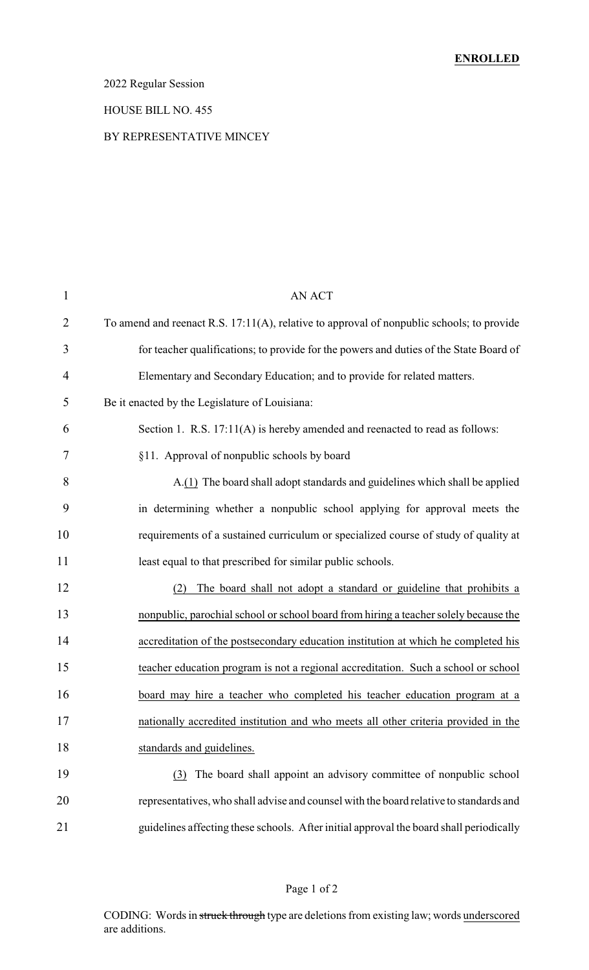### 2022 Regular Session

#### HOUSE BILL NO. 455

#### BY REPRESENTATIVE MINCEY

| $\mathbf{1}$   | <b>AN ACT</b>                                                                             |
|----------------|-------------------------------------------------------------------------------------------|
| 2              | To amend and reenact R.S. 17:11(A), relative to approval of nonpublic schools; to provide |
| 3              | for teacher qualifications; to provide for the powers and duties of the State Board of    |
| $\overline{4}$ | Elementary and Secondary Education; and to provide for related matters.                   |
| 5              | Be it enacted by the Legislature of Louisiana:                                            |
| 6              | Section 1. R.S. 17:11(A) is hereby amended and reenacted to read as follows:              |
| 7              | §11. Approval of nonpublic schools by board                                               |
| 8              | A.(1) The board shall adopt standards and guidelines which shall be applied               |
| 9              | in determining whether a nonpublic school applying for approval meets the                 |
| 10             | requirements of a sustained curriculum or specialized course of study of quality at       |
| 11             | least equal to that prescribed for similar public schools.                                |
| 12             | The board shall not adopt a standard or guideline that prohibits a<br>(2)                 |
| 13             | nonpublic, parochial school or school board from hiring a teacher solely because the      |
| 14             | accreditation of the postsecondary education institution at which he completed his        |
| 15             | teacher education program is not a regional accreditation. Such a school or school        |
| 16             | board may hire a teacher who completed his teacher education program at a                 |
| 17             | nationally accredited institution and who meets all other criteria provided in the        |
| 18             | standards and guidelines.                                                                 |
| 19             | The board shall appoint an advisory committee of nonpublic school<br>(3)                  |
| 20             | representatives, who shall advise and counsel with the board relative to standards and    |
| 21             | guidelines affecting these schools. After initial approval the board shall periodically   |
|                |                                                                                           |

### Page 1 of 2

CODING: Words in struck through type are deletions from existing law; words underscored are additions.